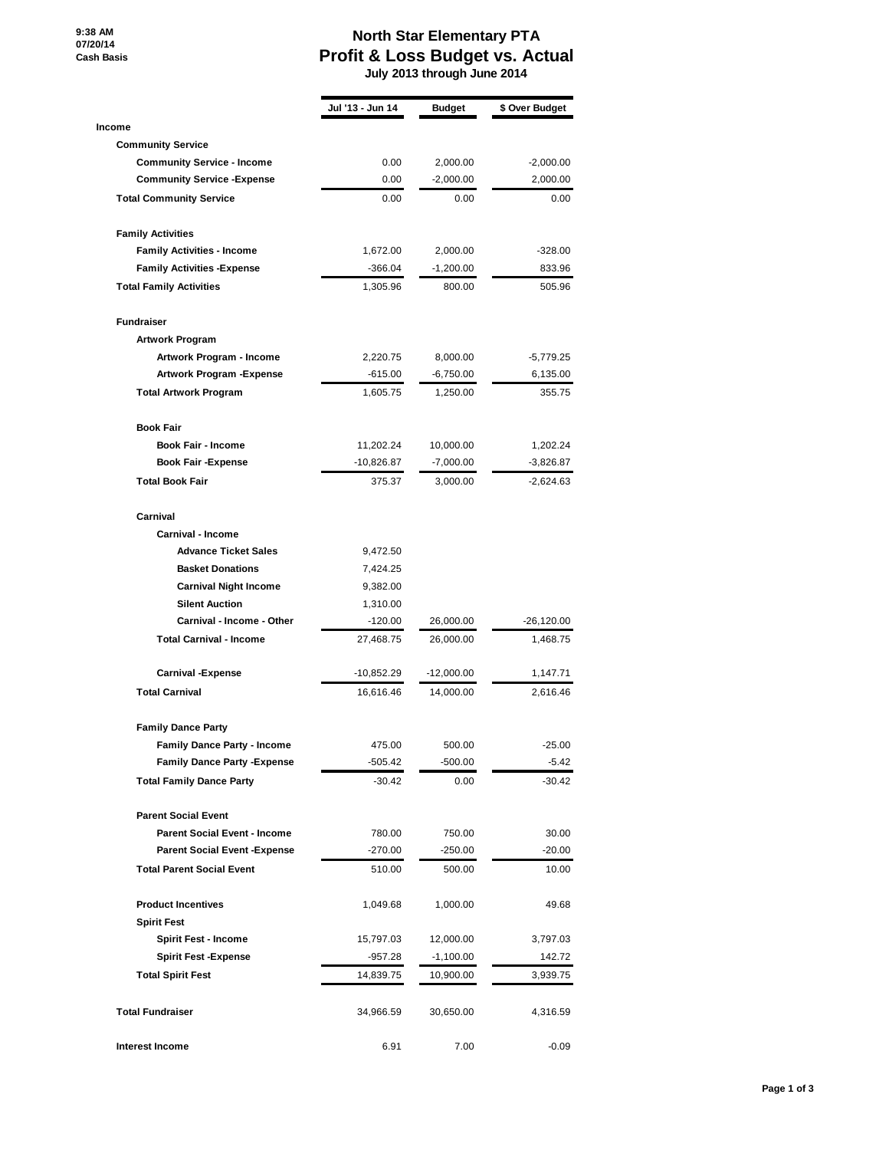**9:38 AM 07/20/14 Cash Basis**

## **North Star Elementary PTA Profit & Loss Budget vs. Actual**

 **July 2013 through June 2014**

|                                      | Jul '13 - Jun 14 | <b>Budget</b> | \$ Over Budget |
|--------------------------------------|------------------|---------------|----------------|
| Income                               |                  |               |                |
| <b>Community Service</b>             |                  |               |                |
| <b>Community Service - Income</b>    | 0.00             | 2,000.00      | $-2,000.00$    |
| <b>Community Service - Expense</b>   | 0.00             | $-2,000.00$   | 2,000.00       |
| <b>Total Community Service</b>       | 0.00             | 0.00          | 0.00           |
| <b>Family Activities</b>             |                  |               |                |
| <b>Family Activities - Income</b>    | 1,672.00         | 2,000.00      | $-328.00$      |
| <b>Family Activities - Expense</b>   | $-366.04$        | -1,200.00     | 833.96         |
| <b>Total Family Activities</b>       | 1,305.96         | 800.00        | 505.96         |
| <b>Fundraiser</b>                    |                  |               |                |
| <b>Artwork Program</b>               |                  |               |                |
| Artwork Program - Income             | 2,220.75         | 8,000.00      | $-5,779.25$    |
| Artwork Program - Expense            | $-615.00$        | $-6,750.00$   | 6,135.00       |
| <b>Total Artwork Program</b>         | 1,605.75         | 1,250.00      | 355.75         |
| <b>Book Fair</b>                     |                  |               |                |
| <b>Book Fair - Income</b>            | 11,202.24        | 10,000.00     | 1,202.24       |
| <b>Book Fair -Expense</b>            | $-10,826.87$     | $-7,000.00$   | $-3,826.87$    |
| <b>Total Book Fair</b>               | 375.37           | 3,000.00      | $-2,624.63$    |
| Carnival                             |                  |               |                |
| Carnival - Income                    |                  |               |                |
| <b>Advance Ticket Sales</b>          | 9,472.50         |               |                |
| <b>Basket Donations</b>              | 7,424.25         |               |                |
| <b>Carnival Night Income</b>         | 9,382.00         |               |                |
| <b>Silent Auction</b>                | 1,310.00         |               |                |
| Carnival - Income - Other            | $-120.00$        | 26,000.00     | $-26,120.00$   |
| <b>Total Carnival - Income</b>       | 27,468.75        | 26,000.00     | 1,468.75       |
| <b>Carnival -Expense</b>             | -10,852.29       | $-12,000.00$  | 1,147.71       |
| <b>Total Carnival</b>                | 16,616.46        | 14,000.00     | 2,616.46       |
| <b>Family Dance Party</b>            |                  |               |                |
| <b>Family Dance Party - Income</b>   | 475.00           | 500.00        | $-25.00$       |
| <b>Family Dance Party - Expense</b>  | $-505.42$        | $-500.00$     | $-5.42$        |
| <b>Total Family Dance Party</b>      | $-30.42$         | 0.00          | $-30.42$       |
| <b>Parent Social Event</b>           |                  |               |                |
| <b>Parent Social Event - Income</b>  | 780.00           | 750.00        | 30.00          |
| <b>Parent Social Event - Expense</b> | -270.00          | $-250.00$     | $-20.00$       |
| <b>Total Parent Social Event</b>     | 510.00           | 500.00        | 10.00          |
| <b>Product Incentives</b>            | 1,049.68         | 1,000.00      | 49.68          |
| <b>Spirit Fest</b>                   |                  |               |                |
| <b>Spirit Fest - Income</b>          | 15,797.03        | 12,000.00     | 3,797.03       |
| <b>Spirit Fest -Expense</b>          | -957.28          | $-1,100.00$   | 142.72         |
| <b>Total Spirit Fest</b>             | 14,839.75        | 10,900.00     | 3,939.75       |
| <b>Total Fundraiser</b>              | 34,966.59        | 30,650.00     | 4,316.59       |
| Interest Income                      | 6.91             | 7.00          | $-0.09$        |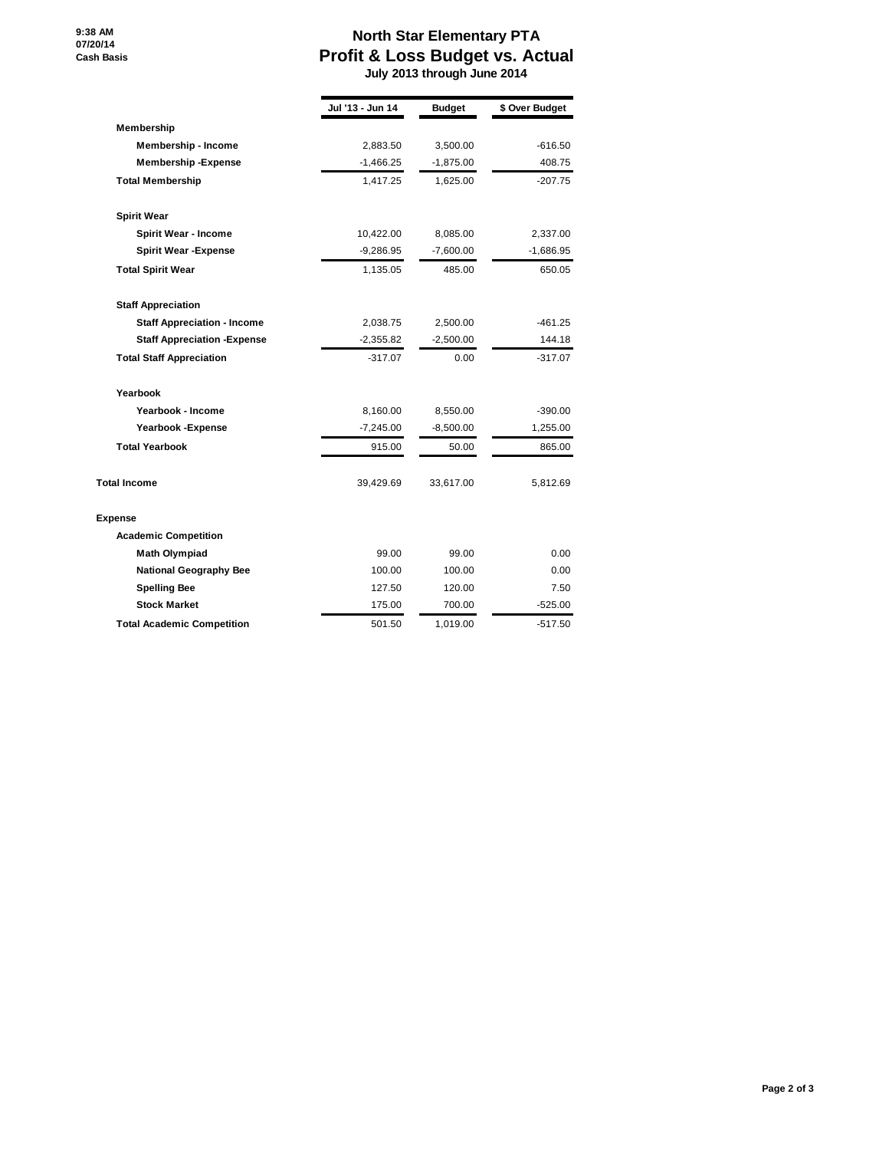**9:38 AM 07/20/14 Cash Basis**

## **North Star Elementary PTA Profit & Loss Budget vs. Actual**

 **July 2013 through June 2014**

|                                     | Jul '13 - Jun 14 | <b>Budget</b> | \$ Over Budget |
|-------------------------------------|------------------|---------------|----------------|
| Membership                          |                  |               |                |
| <b>Membership - Income</b>          | 2,883.50         | 3,500.00      | $-616.50$      |
| <b>Membership-Expense</b>           | $-1,466.25$      | $-1,875.00$   | 408.75         |
| <b>Total Membership</b>             | 1,417.25         | 1,625.00      | $-207.75$      |
| <b>Spirit Wear</b>                  |                  |               |                |
| <b>Spirit Wear - Income</b>         | 10,422.00        | 8,085.00      | 2,337.00       |
| <b>Spirit Wear -Expense</b>         | $-9,286.95$      | $-7,600.00$   | $-1,686.95$    |
| <b>Total Spirit Wear</b>            | 1,135.05         | 485.00        | 650.05         |
| <b>Staff Appreciation</b>           |                  |               |                |
| <b>Staff Appreciation - Income</b>  | 2,038.75         | 2,500.00      | -461.25        |
| <b>Staff Appreciation - Expense</b> | $-2,355.82$      | $-2,500.00$   | 144.18         |
| <b>Total Staff Appreciation</b>     | $-317.07$        | 0.00          | $-317.07$      |
| Yearbook                            |                  |               |                |
| Yearbook - Income                   | 8,160.00         | 8,550.00      | $-390.00$      |
| Yearbook - Expense                  | $-7,245.00$      | $-8,500.00$   | 1,255.00       |
| <b>Total Yearbook</b>               | 915.00           | 50.00         | 865.00         |
| <b>Total Income</b>                 | 39,429.69        | 33,617.00     | 5,812.69       |
| <b>Expense</b>                      |                  |               |                |
| <b>Academic Competition</b>         |                  |               |                |
| <b>Math Olympiad</b>                | 99.00            | 99.00         | 0.00           |
| <b>National Geography Bee</b>       | 100.00           | 100.00        | 0.00           |
| <b>Spelling Bee</b>                 | 127.50           | 120.00        | 7.50           |
| <b>Stock Market</b>                 | 175.00           | 700.00        | $-525.00$      |
| <b>Total Academic Competition</b>   | 501.50           | 1.019.00      | -517.50        |